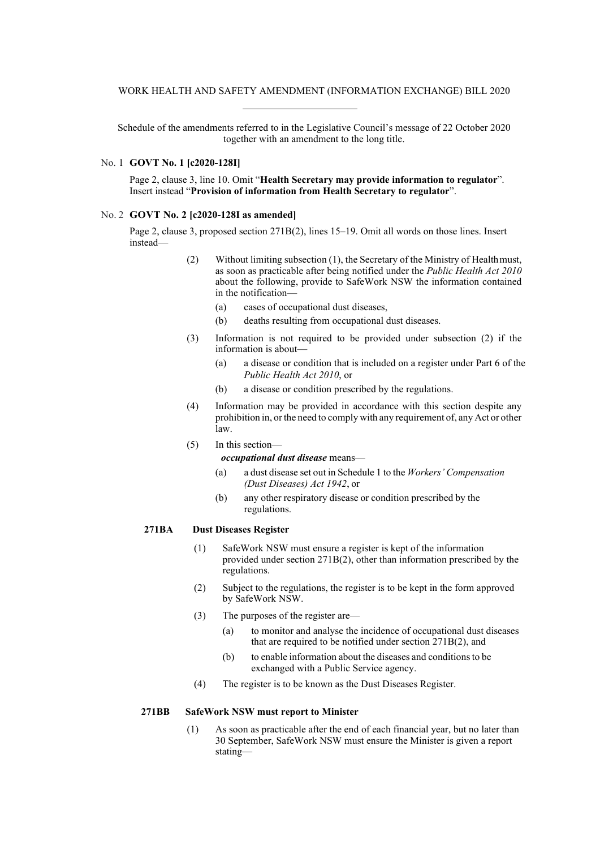Schedule of the amendments referred to in the Legislative Council's message of 22 October 2020 together with an amendment to the long title.

### No. 1 **GOVT No. 1 [c2020-128I]**

Page 2, clause 3, line 10. Omit "**Health Secretary may provide information to regulator**". Insert instead "**Provision of information from Health Secretary to regulator**".

### No. 2 **GOVT No. 2 [c2020-128I as amended]**

Page 2, clause 3, proposed section 271B(2), lines 15–19. Omit all words on those lines. Insert instead—

- (2) Without limiting subsection (1), the Secretary of the Ministry of Healthmust, as soon as practicable after being notified under the *Public Health Act 2010*  about the following, provide to SafeWork NSW the information contained in the notification—
	- (a) cases of occupational dust diseases,
	- (b) deaths resulting from occupational dust diseases.
- (3) Information is not required to be provided under subsection (2) if the information is about—
	- (a) a disease or condition that is included on a register under Part 6 of the *Public Health Act 2010*, or
	- (b) a disease or condition prescribed by the regulations.
- (4) Information may be provided in accordance with this section despite any prohibition in, orthe need to comply with any requirement of, any Act or other law.
- (5) In this section—

#### *occupational dust disease* means—

- (a) a dust disease set out in Schedule 1 to the *Workers' Compensation (Dust Diseases) Act 1942*, or
- (b) any other respiratory disease or condition prescribed by the regulations.

#### **271BA Dust Diseases Register**

- (1) SafeWork NSW must ensure a register is kept of the information provided under section 271B(2), other than information prescribed by the regulations.
- (2) Subject to the regulations, the register is to be kept in the form approved by SafeWork NSW.
- (3) The purposes of the register are—
	- (a) to monitor and analyse the incidence of occupational dust diseases that are required to be notified under section 271B(2), and
	- (b) to enable information about the diseases and conditionsto be exchanged with a Public Service agency.
- (4) The register is to be known as the Dust Diseases Register.

### **271BB SafeWork NSW must report to Minister**

(1) As soon as practicable after the end of each financial year, but no later than 30 September, SafeWork NSW must ensure the Minister is given a report stating—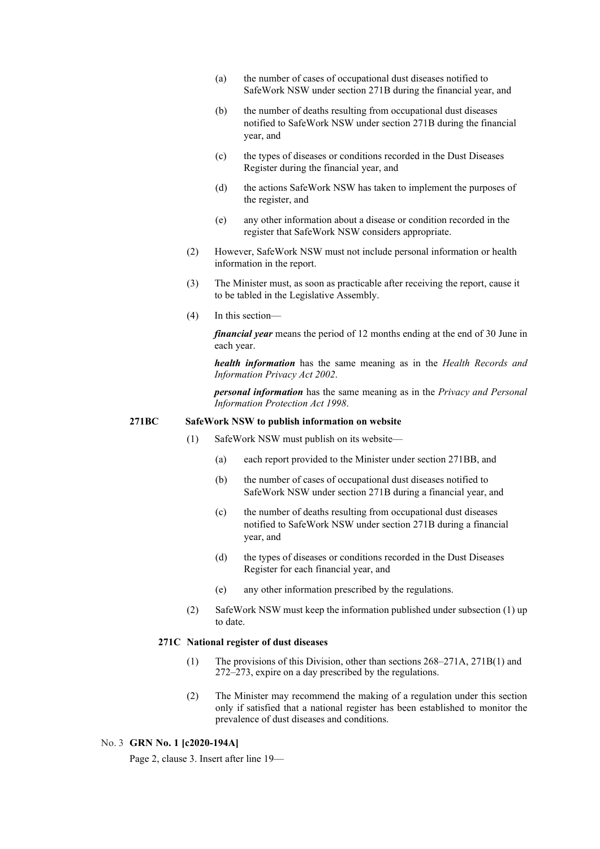- (a) the number of cases of occupational dust diseases notified to SafeWork NSW under section 271B during the financial year, and
- (b) the number of deaths resulting from occupational dust diseases notified to SafeWork NSW under section 271B during the financial year, and
- (c) the types of diseases or conditions recorded in the Dust Diseases Register during the financial year, and
- (d) the actions SafeWork NSW has taken to implement the purposes of the register, and
- (e) any other information about a disease or condition recorded in the register that SafeWork NSW considers appropriate.
- (2) However, SafeWork NSW must not include personal information or health information in the report.
- (3) The Minister must, as soon as practicable after receiving the report, cause it to be tabled in the Legislative Assembly.
- (4) In this section—

*financial year* means the period of 12 months ending at the end of 30 June in each year.

*health information* has the same meaning as in the *Health Records and Information Privacy Act 2002*.

*personal information* has the same meaning as in the *Privacy and Personal Information Protection Act 1998*.

#### **271BC SafeWork NSW to publish information on website**

- (1) SafeWork NSW must publish on its website—
	- (a) each report provided to the Minister under section 271BB, and
	- (b) the number of cases of occupational dust diseases notified to SafeWork NSW under section 271B during a financial year, and
	- (c) the number of deaths resulting from occupational dust diseases notified to SafeWork NSW under section 271B during a financial year, and
	- (d) the types of diseases or conditions recorded in the Dust Diseases Register for each financial year, and
	- (e) any other information prescribed by the regulations.
- (2) SafeWork NSW must keep the information published under subsection (1) up to date.

### **271C National register of dust diseases**

- (1) The provisions of this Division, other than sections 268–271A, 271B(1) and 272–273, expire on a day prescribed by the regulations.
- (2) The Minister may recommend the making of a regulation under this section only if satisfied that a national register has been established to monitor the prevalence of dust diseases and conditions.

#### No. 3 **GRN No. 1 [c2020-194A]**

Page 2, clause 3. Insert after line 19—